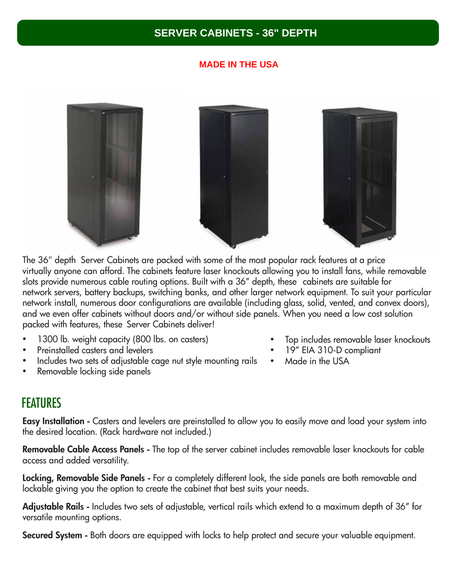### **SERVER CABINETS - 36" DEPTH**

### **MADE IN THE USA**



The 36" depth Server Cabinets are packed with some of the most popular rack features at a price virtually anyone can afford. The cabinets feature laser knockouts allowing you to install fans, while removable slots provide numerous cable routing options. Built with a 36" depth, these cabinets are suitable for network servers, battery backups, switching banks, and other larger network equipment. To suit your particular network install, numerous door configurations are available (including glass, solid, vented, and convex doors), and we even offer cabinets without doors and/or without side panels. When you need a low cost solution packed with features, these Server Cabinets deliver!

- 1300 lb. weight capacity (800 lbs. on casters)
- Preinstalled casters and levelers
- Includes two sets of adjustable cage nut style mounting rails
- Removable locking side panels
- Top includes removable laser knockouts
- 19" EIA 310-D compliant
- Made in the USA

## **FEATURES**

Easy Installation - Casters and levelers are preinstalled to allow you to easily move and load your system into the desired location. (Rack hardware not included.)

Removable Cable Access Panels - The top of the server cabinet includes removable laser knockouts for cable access and added versatility.

Locking, Removable Side Panels - For a completely different look, the side panels are both removable and lockable giving you the option to create the cabinet that best suits your needs.

Adjustable Rails - Includes two sets of adjustable, vertical rails which extend to a maximum depth of 36" for versatile mounting options.

Secured System - Both doors are equipped with locks to help protect and secure your valuable equipment.